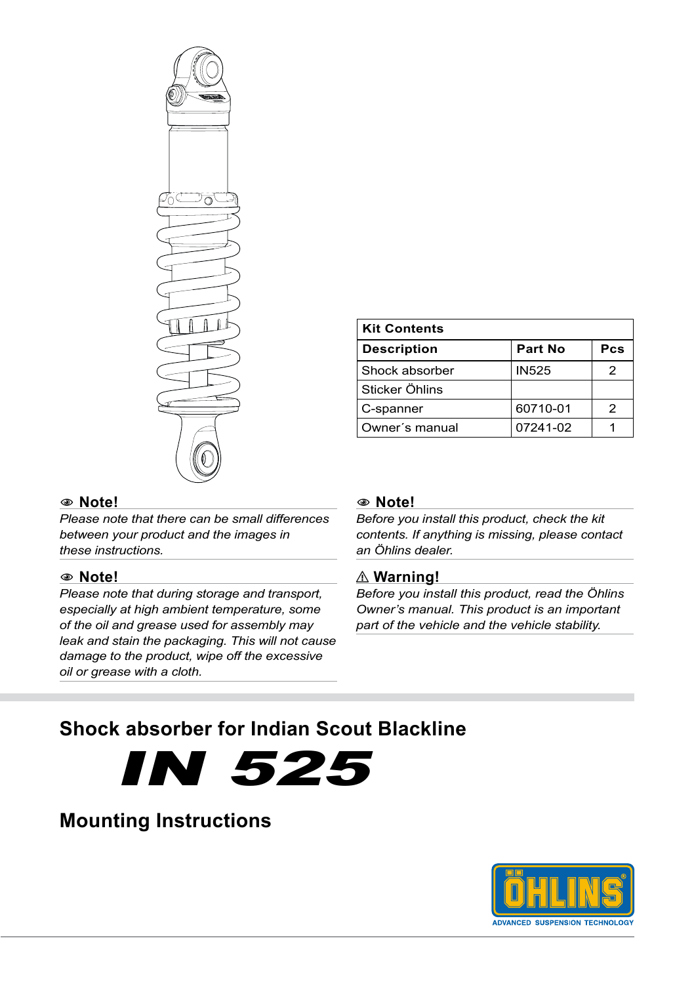

| <b>Kit Contents</b> |              |     |
|---------------------|--------------|-----|
| <b>Description</b>  | Part No      | Pcs |
| Shock absorber      | <b>IN525</b> |     |
| Sticker Öhlins      |              |     |
| C-spanner           | 60710-01     | 2   |
| Owner's manual      | 07241-02     |     |

## 1 **Note!**

*Please note that there can be small differences between your product and the images in these instructions.*

### 1 **Note!**

*Please note that during storage and transport, especially at high ambient temperature, some of the oil and grease used for assembly may leak and stain the packaging. This will not cause damage to the product, wipe off the excessive oil or grease with a cloth.*

#### 1 **Note!**

*Before you install this product, check the kit contents. If anything is missing, please contact an Öhlins dealer.*

### ⚠ **Warning!**

*Before you install this product, read the Öhlins Owner's manual. This product is an important part of the vehicle and the vehicle stability.*

# **Shock absorber for Indian Scout Blackline**



# **Mounting Instructions**